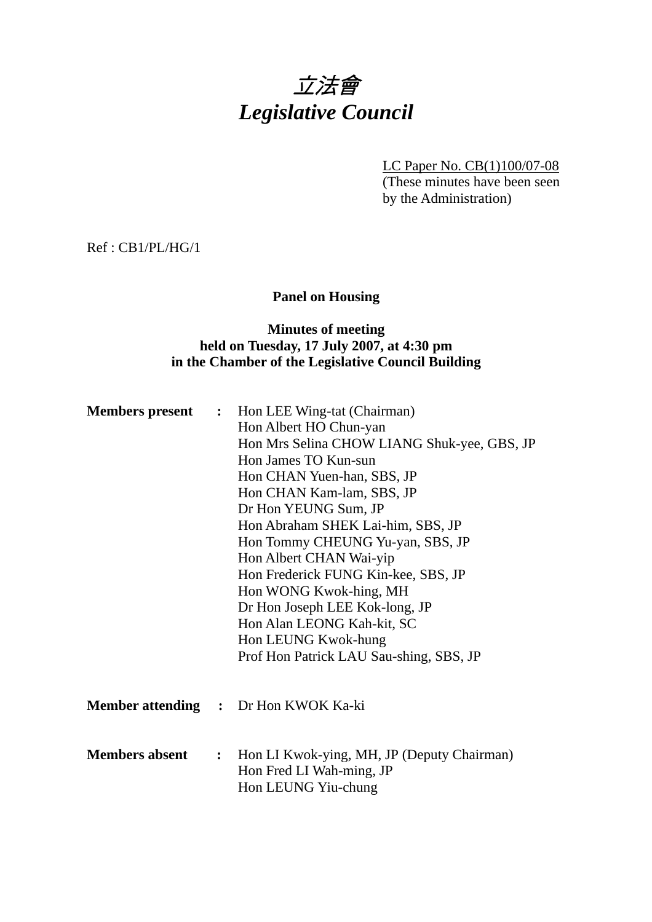# 立法會 *Legislative Council*

LC Paper No. CB(1)100/07-08 (These minutes have been seen by the Administration)

Ref : CB1/PL/HG/1

# **Panel on Housing**

### **Minutes of meeting held on Tuesday, 17 July 2007, at 4:30 pm in the Chamber of the Legislative Council Building**

| <b>Members present</b> | $\ddot{\cdot}$ | Hon LEE Wing-tat (Chairman)<br>Hon Albert HO Chun-yan<br>Hon Mrs Selina CHOW LIANG Shuk-yee, GBS, JP<br>Hon James TO Kun-sun<br>Hon CHAN Yuen-han, SBS, JP<br>Hon CHAN Kam-lam, SBS, JP<br>Dr Hon YEUNG Sum, JP<br>Hon Abraham SHEK Lai-him, SBS, JP<br>Hon Tommy CHEUNG Yu-yan, SBS, JP<br>Hon Albert CHAN Wai-yip<br>Hon Frederick FUNG Kin-kee, SBS, JP<br>Hon WONG Kwok-hing, MH<br>Dr Hon Joseph LEE Kok-long, JP<br>Hon Alan LEONG Kah-kit, SC<br>Hon LEUNG Kwok-hung<br>Prof Hon Patrick LAU Sau-shing, SBS, JP |
|------------------------|----------------|------------------------------------------------------------------------------------------------------------------------------------------------------------------------------------------------------------------------------------------------------------------------------------------------------------------------------------------------------------------------------------------------------------------------------------------------------------------------------------------------------------------------|
|                        |                | <b>Member attending :</b> Dr Hon KWOK Ka-ki                                                                                                                                                                                                                                                                                                                                                                                                                                                                            |
| <b>Members absent</b>  | :              | Hon LI Kwok-ying, MH, JP (Deputy Chairman)<br>Hon Fred LI Wah-ming, JP<br>Hon LEUNG Yiu-chung                                                                                                                                                                                                                                                                                                                                                                                                                          |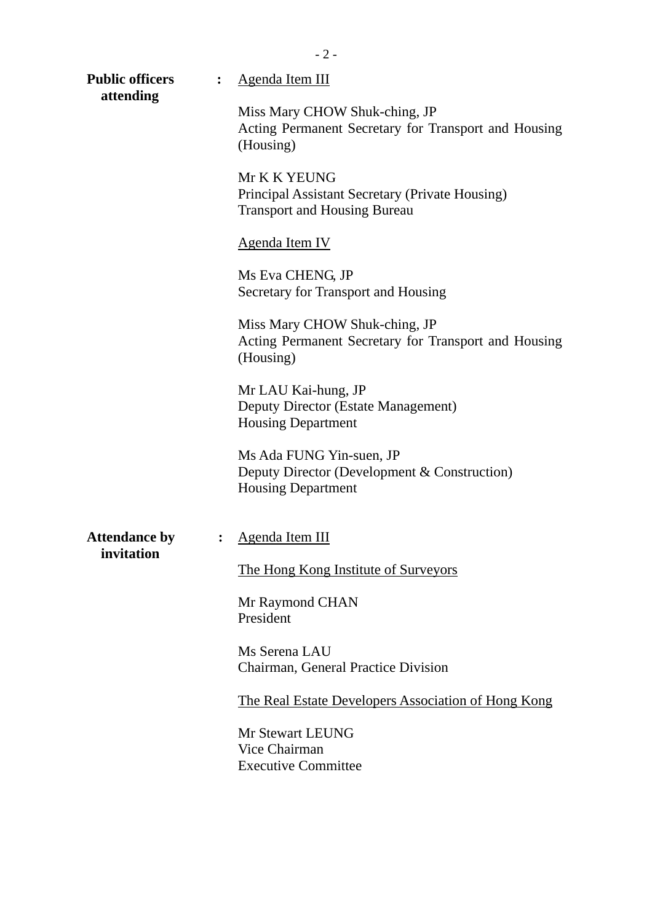| <b>Public officers</b><br>attending | $\ddot{\cdot}$ | Agenda Item III                                                                                        |  |  |  |  |
|-------------------------------------|----------------|--------------------------------------------------------------------------------------------------------|--|--|--|--|
|                                     |                | Miss Mary CHOW Shuk-ching, JP<br>Acting Permanent Secretary for Transport and Housing<br>(Housing)     |  |  |  |  |
|                                     |                | Mr K K YEUNG<br>Principal Assistant Secretary (Private Housing)<br><b>Transport and Housing Bureau</b> |  |  |  |  |
|                                     |                | <b>Agenda Item IV</b>                                                                                  |  |  |  |  |
|                                     |                | Ms Eva CHENG, JP<br>Secretary for Transport and Housing                                                |  |  |  |  |
|                                     |                | Miss Mary CHOW Shuk-ching, JP<br>Acting Permanent Secretary for Transport and Housing<br>(Housing)     |  |  |  |  |
|                                     |                | Mr LAU Kai-hung, JP<br>Deputy Director (Estate Management)<br><b>Housing Department</b>                |  |  |  |  |
|                                     |                | Ms Ada FUNG Yin-suen, JP<br>Deputy Director (Development & Construction)<br><b>Housing Department</b>  |  |  |  |  |
| <b>Attendance by</b><br>invitation  | $\ddot{\cdot}$ | Agenda Item III                                                                                        |  |  |  |  |
|                                     |                | The Hong Kong Institute of Surveyors                                                                   |  |  |  |  |
|                                     |                | Mr Raymond CHAN<br>President                                                                           |  |  |  |  |
|                                     |                | Ms Serena LAU<br>Chairman, General Practice Division                                                   |  |  |  |  |
|                                     |                | The Real Estate Developers Association of Hong Kong                                                    |  |  |  |  |
|                                     |                | Mr Stewart LEUNG<br>Vice Chairman<br><b>Executive Committee</b>                                        |  |  |  |  |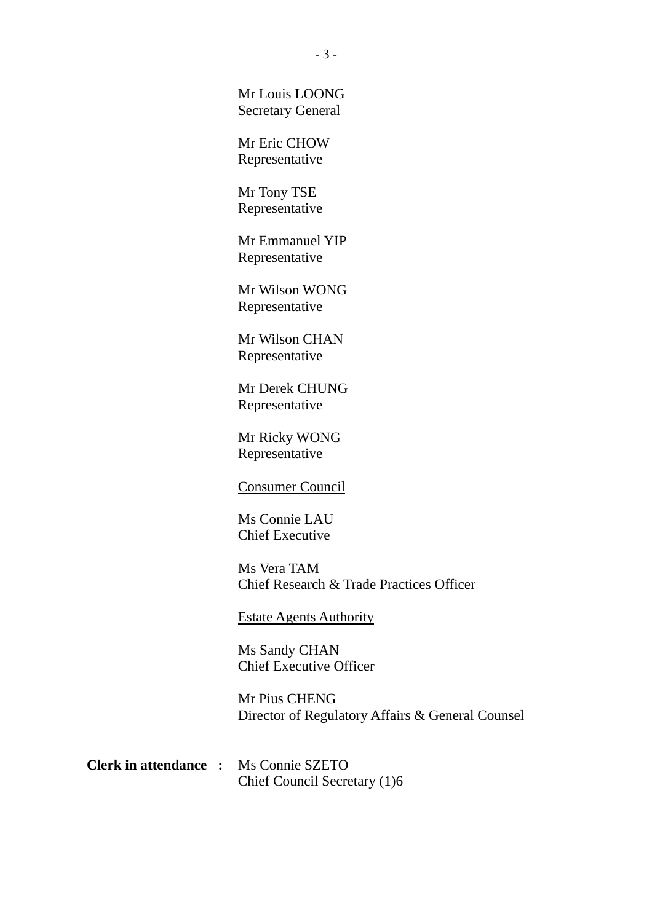Mr Louis LOONG Secretary General

Mr Eric CHOW Representative

Mr Tony TSE Representative

Mr Emmanuel YIP Representative

Mr Wilson WONG Representative

Mr Wilson CHAN Representative

Mr Derek CHUNG Representative

Mr Ricky WONG Representative

#### Consumer Council

Ms Connie LAU Chief Executive

Ms Vera TAM Chief Research & Trade Practices Officer

Estate Agents Authority

Ms Sandy CHAN Chief Executive Officer

Mr Pius CHENG Director of Regulatory Affairs & General Counsel

**Clerk in attendance :** Ms Connie SZETO Chief Council Secretary (1)6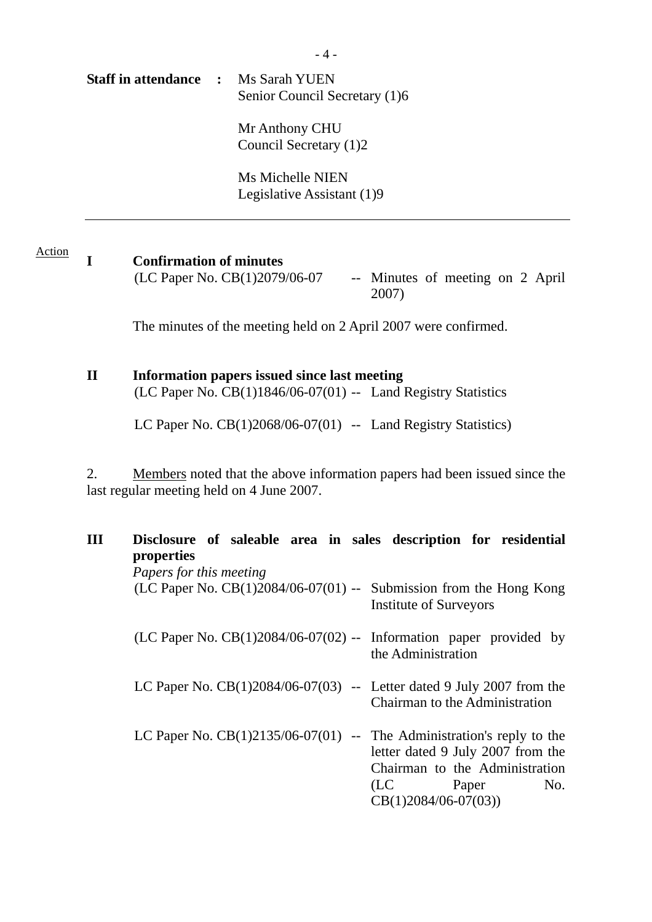**Staff in attendance :** Ms Sarah YUEN Senior Council Secretary (1)6 Mr Anthony CHU Council Secretary (1)2

> Ms Michelle NIEN Legislative Assistant (1)9

#### Action

### **I Confirmation of minutes**

 $(LC$  Paper No.  $CB(1)2079/06-07$  -- Minutes of meeting on 2 April 2007)

The minutes of the meeting held on 2 April 2007 were confirmed.

# **II Information papers issued since last meeting**

 $(LC$  Paper No.  $CB(1)1846/06-07(01)$  -- Land Registry Statistics

LC Paper No.  $CB(1)2068/06-07(01)$  -- Land Registry Statistics)

2. Members noted that the above information papers had been issued since the last regular meeting held on 4 June 2007.

| III | Disclosure of saleable area in sales description for residential<br>properties |                                                                                                                       |  |  |  |  |  |  |  |  |  |  |
|-----|--------------------------------------------------------------------------------|-----------------------------------------------------------------------------------------------------------------------|--|--|--|--|--|--|--|--|--|--|
|     | Papers for this meeting                                                        |                                                                                                                       |  |  |  |  |  |  |  |  |  |  |
|     | (LC Paper No. $CB(1)2084/06-07(01)$ -- Submission from the Hong Kong           | <b>Institute of Surveyors</b>                                                                                         |  |  |  |  |  |  |  |  |  |  |
|     | (LC Paper No. $CB(1)2084/06-07(02)$ -- Information paper provided by           | the Administration                                                                                                    |  |  |  |  |  |  |  |  |  |  |
|     | LC Paper No. $CB(1)2084/06-07(03)$ -- Letter dated 9 July 2007 from the        | Chairman to the Administration                                                                                        |  |  |  |  |  |  |  |  |  |  |
|     | LC Paper No. $CB(1)2135/06-07(01)$ -- The Administration's reply to the        | letter dated 9 July 2007 from the<br>Chairman to the Administration<br>(LC)<br>No.<br>Paper<br>$CB(1)2084/06-07(03))$ |  |  |  |  |  |  |  |  |  |  |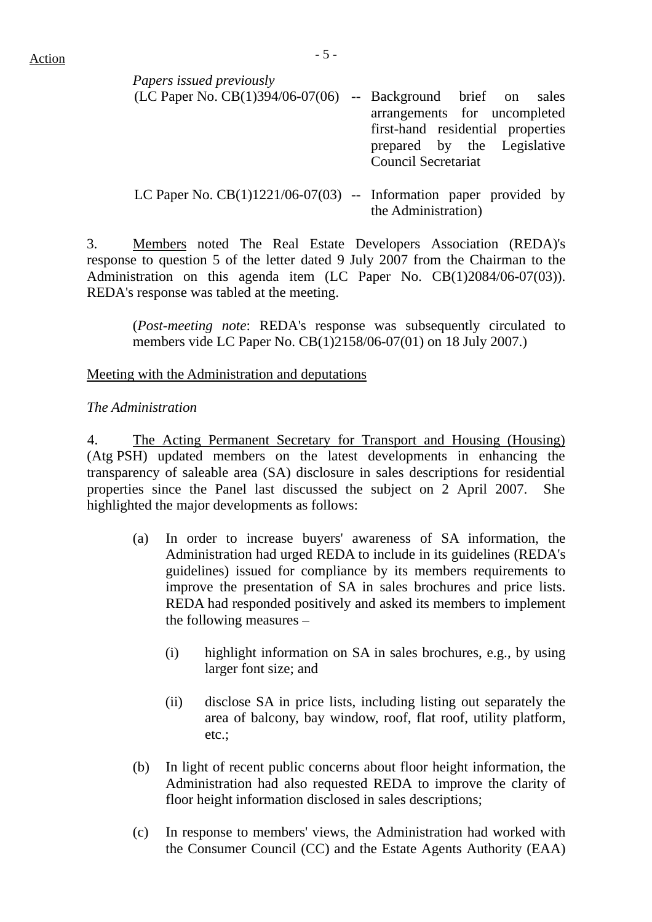| Papers issued previously                                            |                                   |  |  |
|---------------------------------------------------------------------|-----------------------------------|--|--|
| $(LC$ Paper No. $CB(1)394/06-07(06)$ -- Background brief on sales   |                                   |  |  |
|                                                                     | arrangements for uncompleted      |  |  |
|                                                                     | first-hand residential properties |  |  |
|                                                                     | prepared by the Legislative       |  |  |
|                                                                     | <b>Council Secretariat</b>        |  |  |
|                                                                     |                                   |  |  |
| LC Paper No. $CB(1)1221/06-07(03)$ -- Information paper provided by | the Administration)               |  |  |

3. Members noted The Real Estate Developers Association (REDA)'s response to question 5 of the letter dated 9 July 2007 from the Chairman to the Administration on this agenda item (LC Paper No. CB(1)2084/06-07(03)). REDA's response was tabled at the meeting.

(*Post-meeting note*: REDA's response was subsequently circulated to members vide LC Paper No. CB(1)2158/06-07(01) on 18 July 2007.)

#### Meeting with the Administration and deputations

#### *The Administration*

4. The Acting Permanent Secretary for Transport and Housing (Housing) (Atg PSH) updated members on the latest developments in enhancing the transparency of saleable area (SA) disclosure in sales descriptions for residential properties since the Panel last discussed the subject on 2 April 2007. She highlighted the major developments as follows:

- (a) In order to increase buyers' awareness of SA information, the Administration had urged REDA to include in its guidelines (REDA's guidelines) issued for compliance by its members requirements to improve the presentation of SA in sales brochures and price lists. REDA had responded positively and asked its members to implement the following measures –
	- (i) highlight information on SA in sales brochures, e.g., by using larger font size; and
	- (ii) disclose SA in price lists, including listing out separately the area of balcony, bay window, roof, flat roof, utility platform, etc.;
- (b) In light of recent public concerns about floor height information, the Administration had also requested REDA to improve the clarity of floor height information disclosed in sales descriptions;
- (c) In response to members' views, the Administration had worked with the Consumer Council (CC) and the Estate Agents Authority (EAA)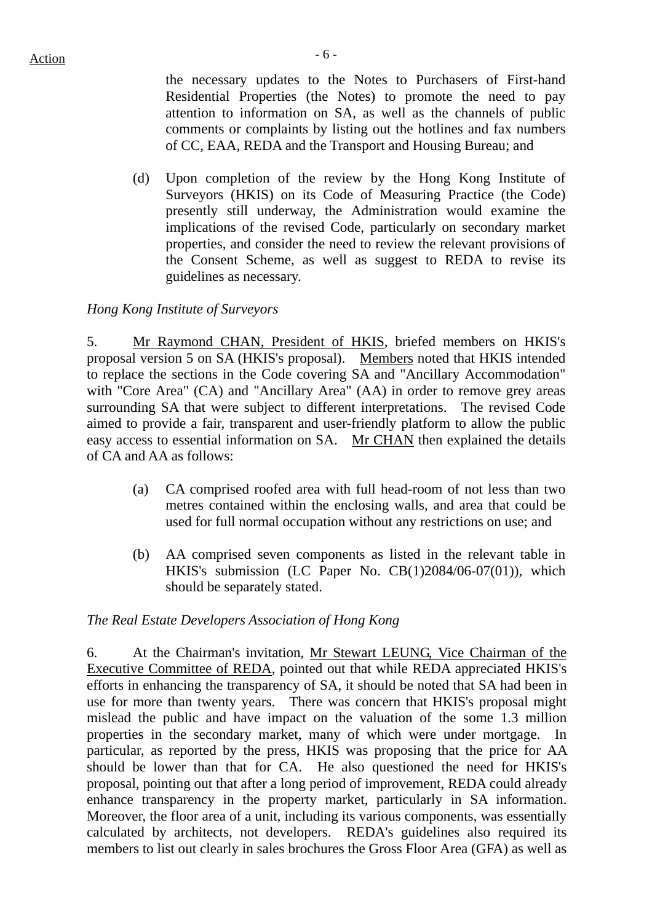the necessary updates to the Notes to Purchasers of First-hand Residential Properties (the Notes) to promote the need to pay attention to information on SA, as well as the channels of public comments or complaints by listing out the hotlines and fax numbers of CC, EAA, REDA and the Transport and Housing Bureau; and

(d) Upon completion of the review by the Hong Kong Institute of Surveyors (HKIS) on its Code of Measuring Practice (the Code) presently still underway, the Administration would examine the implications of the revised Code, particularly on secondary market properties, and consider the need to review the relevant provisions of the Consent Scheme, as well as suggest to REDA to revise its guidelines as necessary.

#### *Hong Kong Institute of Surveyors*

5. Mr Raymond CHAN, President of HKIS, briefed members on HKIS's proposal version 5 on SA (HKIS's proposal). Members noted that HKIS intended to replace the sections in the Code covering SA and "Ancillary Accommodation" with "Core Area" (CA) and "Ancillary Area" (AA) in order to remove grey areas surrounding SA that were subject to different interpretations. The revised Code aimed to provide a fair, transparent and user-friendly platform to allow the public easy access to essential information on SA. Mr CHAN then explained the details of CA and AA as follows:

- (a) CA comprised roofed area with full head-room of not less than two metres contained within the enclosing walls, and area that could be used for full normal occupation without any restrictions on use; and
- (b) AA comprised seven components as listed in the relevant table in HKIS's submission (LC Paper No. CB(1)2084/06-07(01)), which should be separately stated.

#### *The Real Estate Developers Association of Hong Kong*

6. At the Chairman's invitation, Mr Stewart LEUNG, Vice Chairman of the Executive Committee of REDA, pointed out that while REDA appreciated HKIS's efforts in enhancing the transparency of SA, it should be noted that SA had been in use for more than twenty years. There was concern that HKIS's proposal might mislead the public and have impact on the valuation of the some 1.3 million properties in the secondary market, many of which were under mortgage. In particular, as reported by the press, HKIS was proposing that the price for AA should be lower than that for CA. He also questioned the need for HKIS's proposal, pointing out that after a long period of improvement, REDA could already enhance transparency in the property market, particularly in SA information. Moreover, the floor area of a unit, including its various components, was essentially calculated by architects, not developers.REDA's guidelines also required its members to list out clearly in sales brochures the Gross Floor Area (GFA) as well as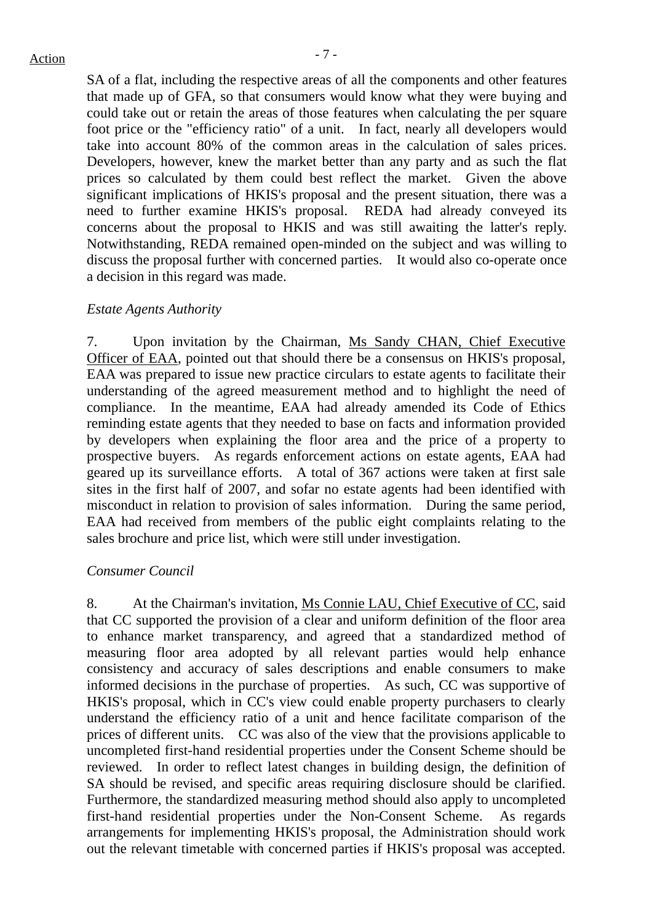SA of a flat, including the respective areas of all the components and other features that made up of GFA, so that consumers would know what they were buying and could take out or retain the areas of those features when calculating the per square foot price or the "efficiency ratio" of a unit. In fact, nearly all developers would take into account 80% of the common areas in the calculation of sales prices. Developers, however, knew the market better than any party and as such the flat prices so calculated by them could best reflect the market. Given the above significant implications of HKIS's proposal and the present situation, there was a need to further examine HKIS's proposal. REDA had already conveyed its concerns about the proposal to HKIS and was still awaiting the latter's reply. Notwithstanding, REDA remained open-minded on the subject and was willing to discuss the proposal further with concerned parties. It would also co-operate once a decision in this regard was made.

#### *Estate Agents Authority*

7. Upon invitation by the Chairman, Ms Sandy CHAN, Chief Executive Officer of EAA, pointed out that should there be a consensus on HKIS's proposal, EAA was prepared to issue new practice circulars to estate agents to facilitate their understanding of the agreed measurement method and to highlight the need of compliance. In the meantime, EAA had already amended its Code of Ethics reminding estate agents that they needed to base on facts and information provided by developers when explaining the floor area and the price of a property to prospective buyers. As regards enforcement actions on estate agents, EAA had geared up its surveillance efforts. A total of 367 actions were taken at first sale sites in the first half of 2007, and sofar no estate agents had been identified with misconduct in relation to provision of sales information. During the same period, EAA had received from members of the public eight complaints relating to the sales brochure and price list, which were still under investigation.

#### *Consumer Council*

8. At the Chairman's invitation, Ms Connie LAU, Chief Executive of CC, said that CC supported the provision of a clear and uniform definition of the floor area to enhance market transparency, and agreed that a standardized method of measuring floor area adopted by all relevant parties would help enhance consistency and accuracy of sales descriptions and enable consumers to make informed decisions in the purchase of properties. As such, CC was supportive of HKIS's proposal, which in CC's view could enable property purchasers to clearly understand the efficiency ratio of a unit and hence facilitate comparison of the prices of different units. CC was also of the view that the provisions applicable to uncompleted first-hand residential properties under the Consent Scheme should be reviewed. In order to reflect latest changes in building design, the definition of SA should be revised, and specific areas requiring disclosure should be clarified. Furthermore, the standardized measuring method should also apply to uncompleted first-hand residential properties under the Non-Consent Scheme. As regards arrangements for implementing HKIS's proposal, the Administration should work out the relevant timetable with concerned parties if HKIS's proposal was accepted.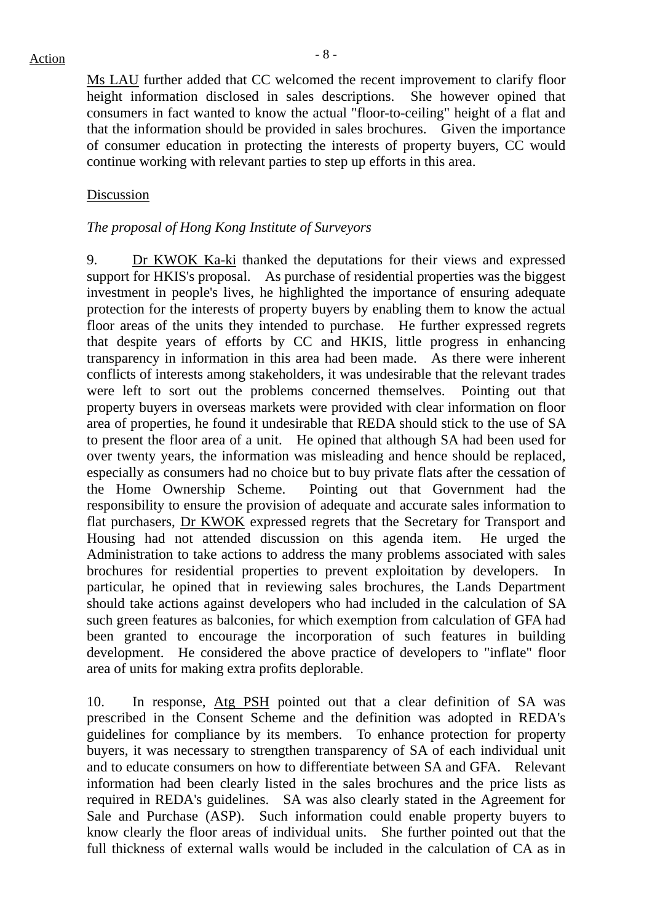Ms LAU further added that CC welcomed the recent improvement to clarify floor height information disclosed in sales descriptions. She however opined that consumers in fact wanted to know the actual "floor-to-ceiling" height of a flat and that the information should be provided in sales brochures. Given the importance of consumer education in protecting the interests of property buyers, CC would continue working with relevant parties to step up efforts in this area.

#### Discussion

#### *The proposal of Hong Kong Institute of Surveyors*

9. Dr KWOK Ka-ki thanked the deputations for their views and expressed support for HKIS's proposal. As purchase of residential properties was the biggest investment in people's lives, he highlighted the importance of ensuring adequate protection for the interests of property buyers by enabling them to know the actual floor areas of the units they intended to purchase. He further expressed regrets that despite years of efforts by CC and HKIS, little progress in enhancing transparency in information in this area had been made. As there were inherent conflicts of interests among stakeholders, it was undesirable that the relevant trades were left to sort out the problems concerned themselves. Pointing out that property buyers in overseas markets were provided with clear information on floor area of properties, he found it undesirable that REDA should stick to the use of SA to present the floor area of a unit. He opined that although SA had been used for over twenty years, the information was misleading and hence should be replaced, especially as consumers had no choice but to buy private flats after the cessation of the Home Ownership Scheme. Pointing out that Government had the responsibility to ensure the provision of adequate and accurate sales information to flat purchasers, Dr KWOK expressed regrets that the Secretary for Transport and Housing had not attended discussion on this agenda item. He urged the Administration to take actions to address the many problems associated with sales brochures for residential properties to prevent exploitation by developers. In particular, he opined that in reviewing sales brochures, the Lands Department should take actions against developers who had included in the calculation of SA such green features as balconies, for which exemption from calculation of GFA had been granted to encourage the incorporation of such features in building development. He considered the above practice of developers to "inflate" floor area of units for making extra profits deplorable.

10. In response, Atg PSH pointed out that a clear definition of SA was prescribed in the Consent Scheme and the definition was adopted in REDA's guidelines for compliance by its members. To enhance protection for property buyers, it was necessary to strengthen transparency of SA of each individual unit and to educate consumers on how to differentiate between SA and GFA. Relevant information had been clearly listed in the sales brochures and the price lists as required in REDA's guidelines. SA was also clearly stated in the Agreement for Sale and Purchase (ASP). Such information could enable property buyers to know clearly the floor areas of individual units. She further pointed out that the full thickness of external walls would be included in the calculation of CA as in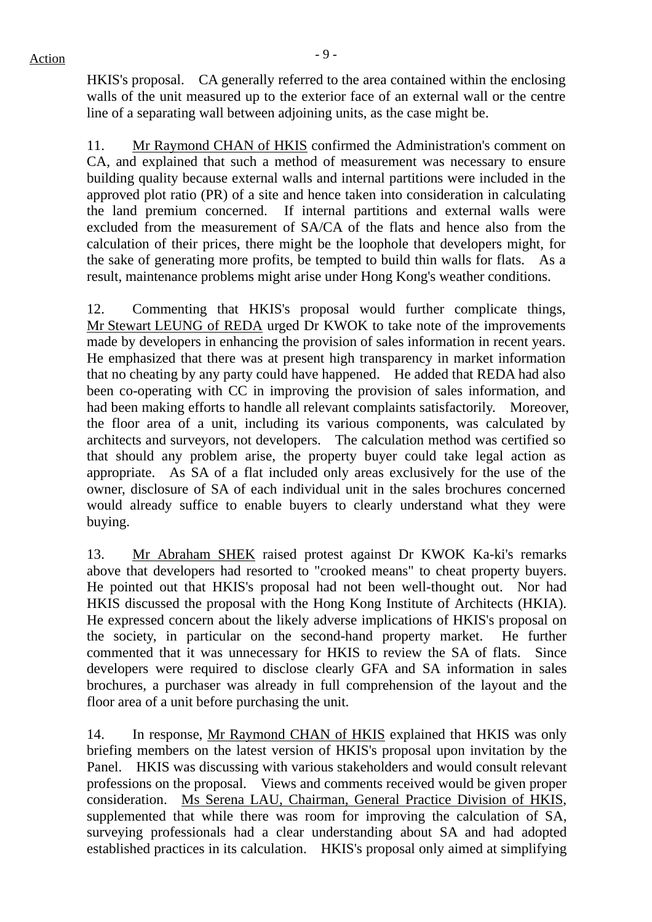HKIS's proposal. CA generally referred to the area contained within the enclosing walls of the unit measured up to the exterior face of an external wall or the centre line of a separating wall between adjoining units, as the case might be.

11. Mr Raymond CHAN of HKIS confirmed the Administration's comment on CA, and explained that such a method of measurement was necessary to ensure building quality because external walls and internal partitions were included in the approved plot ratio (PR) of a site and hence taken into consideration in calculating the land premium concerned. If internal partitions and external walls were excluded from the measurement of SA/CA of the flats and hence also from the calculation of their prices, there might be the loophole that developers might, for the sake of generating more profits, be tempted to build thin walls for flats. As a result, maintenance problems might arise under Hong Kong's weather conditions.

12. Commenting that HKIS's proposal would further complicate things, Mr Stewart LEUNG of REDA urged Dr KWOK to take note of the improvements made by developers in enhancing the provision of sales information in recent years. He emphasized that there was at present high transparency in market information that no cheating by any party could have happened. He added that REDA had also been co-operating with CC in improving the provision of sales information, and had been making efforts to handle all relevant complaints satisfactorily. Moreover, the floor area of a unit, including its various components, was calculated by architects and surveyors, not developers. The calculation method was certified so that should any problem arise, the property buyer could take legal action as appropriate. As SA of a flat included only areas exclusively for the use of the owner, disclosure of SA of each individual unit in the sales brochures concerned would already suffice to enable buyers to clearly understand what they were buying.

13. Mr Abraham SHEK raised protest against Dr KWOK Ka-ki's remarks above that developers had resorted to "crooked means" to cheat property buyers. He pointed out that HKIS's proposal had not been well-thought out. Nor had HKIS discussed the proposal with the Hong Kong Institute of Architects (HKIA). He expressed concern about the likely adverse implications of HKIS's proposal on the society, in particular on the second-hand property market. He further commented that it was unnecessary for HKIS to review the SA of flats. Since developers were required to disclose clearly GFA and SA information in sales brochures, a purchaser was already in full comprehension of the layout and the floor area of a unit before purchasing the unit.

14. In response, Mr Raymond CHAN of HKIS explained that HKIS was only briefing members on the latest version of HKIS's proposal upon invitation by the Panel. HKIS was discussing with various stakeholders and would consult relevant professions on the proposal. Views and comments received would be given proper consideration. Ms Serena LAU, Chairman, General Practice Division of HKIS, supplemented that while there was room for improving the calculation of SA, surveying professionals had a clear understanding about SA and had adopted established practices in its calculation. HKIS's proposal only aimed at simplifying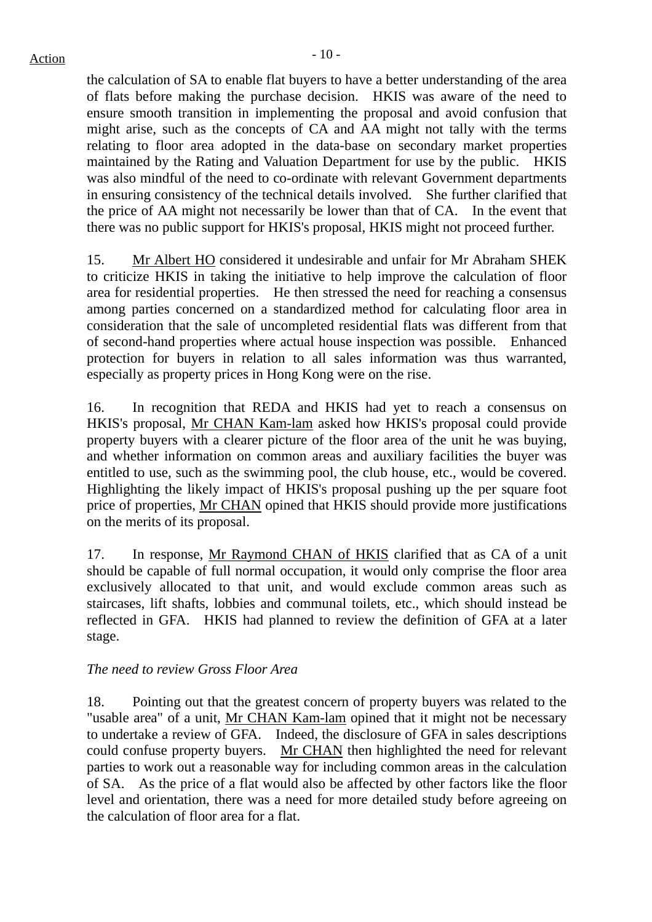the calculation of SA to enable flat buyers to have a better understanding of the area of flats before making the purchase decision. HKIS was aware of the need to ensure smooth transition in implementing the proposal and avoid confusion that might arise, such as the concepts of CA and AA might not tally with the terms relating to floor area adopted in the data-base on secondary market properties maintained by the Rating and Valuation Department for use by the public. HKIS was also mindful of the need to co-ordinate with relevant Government departments in ensuring consistency of the technical details involved. She further clarified that the price of AA might not necessarily be lower than that of CA. In the event that there was no public support for HKIS's proposal, HKIS might not proceed further.

15. Mr Albert HO considered it undesirable and unfair for Mr Abraham SHEK to criticize HKIS in taking the initiative to help improve the calculation of floor area for residential properties. He then stressed the need for reaching a consensus among parties concerned on a standardized method for calculating floor area in consideration that the sale of uncompleted residential flats was different from that of second-hand properties where actual house inspection was possible. Enhanced protection for buyers in relation to all sales information was thus warranted, especially as property prices in Hong Kong were on the rise.

16. In recognition that REDA and HKIS had yet to reach a consensus on HKIS's proposal, Mr CHAN Kam-lam asked how HKIS's proposal could provide property buyers with a clearer picture of the floor area of the unit he was buying, and whether information on common areas and auxiliary facilities the buyer was entitled to use, such as the swimming pool, the club house, etc., would be covered. Highlighting the likely impact of HKIS's proposal pushing up the per square foot price of properties, Mr CHAN opined that HKIS should provide more justifications on the merits of its proposal.

17. In response, Mr Raymond CHAN of HKIS clarified that as CA of a unit should be capable of full normal occupation, it would only comprise the floor area exclusively allocated to that unit, and would exclude common areas such as staircases, lift shafts, lobbies and communal toilets, etc., which should instead be reflected in GFA. HKIS had planned to review the definition of GFA at a later stage.

### *The need to review Gross Floor Area*

18. Pointing out that the greatest concern of property buyers was related to the "usable area" of a unit, Mr CHAN Kam-lam opined that it might not be necessary to undertake a review of GFA. Indeed, the disclosure of GFA in sales descriptions could confuse property buyers. Mr CHAN then highlighted the need for relevant parties to work out a reasonable way for including common areas in the calculation of SA. As the price of a flat would also be affected by other factors like the floor level and orientation, there was a need for more detailed study before agreeing on the calculation of floor area for a flat.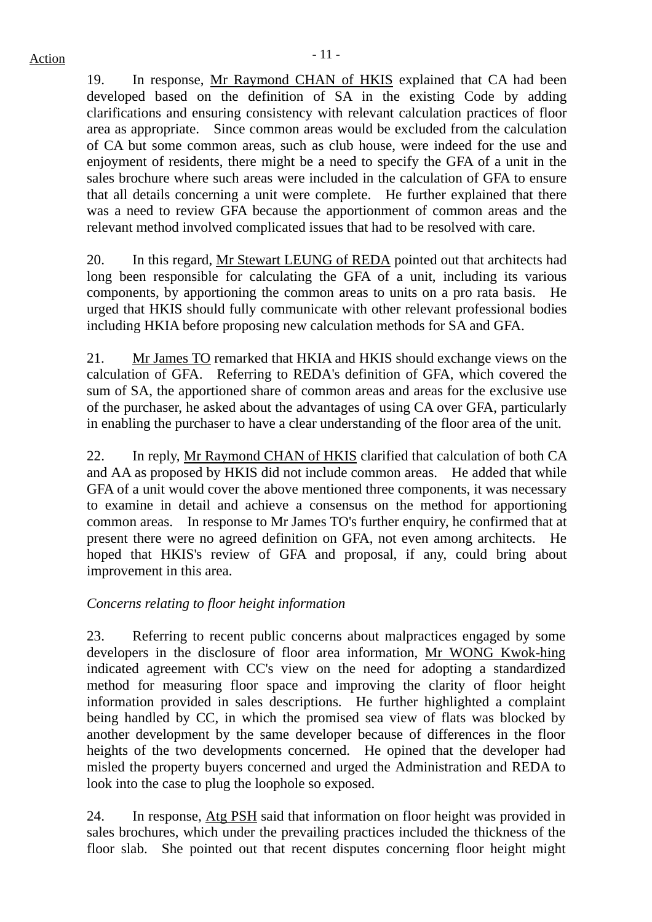19. In response, Mr Raymond CHAN of HKIS explained that CA had been developed based on the definition of SA in the existing Code by adding clarifications and ensuring consistency with relevant calculation practices of floor area as appropriate. Since common areas would be excluded from the calculation of CA but some common areas, such as club house, were indeed for the use and enjoyment of residents, there might be a need to specify the GFA of a unit in the sales brochure where such areas were included in the calculation of GFA to ensure that all details concerning a unit were complete. He further explained that there was a need to review GFA because the apportionment of common areas and the relevant method involved complicated issues that had to be resolved with care.

20. In this regard, Mr Stewart LEUNG of REDA pointed out that architects had long been responsible for calculating the GFA of a unit, including its various components, by apportioning the common areas to units on a pro rata basis. He urged that HKIS should fully communicate with other relevant professional bodies including HKIA before proposing new calculation methods for SA and GFA.

21. Mr James TO remarked that HKIA and HKIS should exchange views on the calculation of GFA. Referring to REDA's definition of GFA, which covered the sum of SA, the apportioned share of common areas and areas for the exclusive use of the purchaser, he asked about the advantages of using CA over GFA, particularly in enabling the purchaser to have a clear understanding of the floor area of the unit.

22. In reply, Mr Raymond CHAN of HKIS clarified that calculation of both CA and AA as proposed by HKIS did not include common areas. He added that while GFA of a unit would cover the above mentioned three components, it was necessary to examine in detail and achieve a consensus on the method for apportioning common areas. In response to Mr James TO's further enquiry, he confirmed that at present there were no agreed definition on GFA, not even among architects. He hoped that HKIS's review of GFA and proposal, if any, could bring about improvement in this area.

### *Concerns relating to floor height information*

23. Referring to recent public concerns about malpractices engaged by some developers in the disclosure of floor area information, Mr WONG Kwok-hing indicated agreement with CC's view on the need for adopting a standardized method for measuring floor space and improving the clarity of floor height information provided in sales descriptions. He further highlighted a complaint being handled by CC, in which the promised sea view of flats was blocked by another development by the same developer because of differences in the floor heights of the two developments concerned. He opined that the developer had misled the property buyers concerned and urged the Administration and REDA to look into the case to plug the loophole so exposed.

24. In response, Atg PSH said that information on floor height was provided in sales brochures, which under the prevailing practices included the thickness of the floor slab. She pointed out that recent disputes concerning floor height might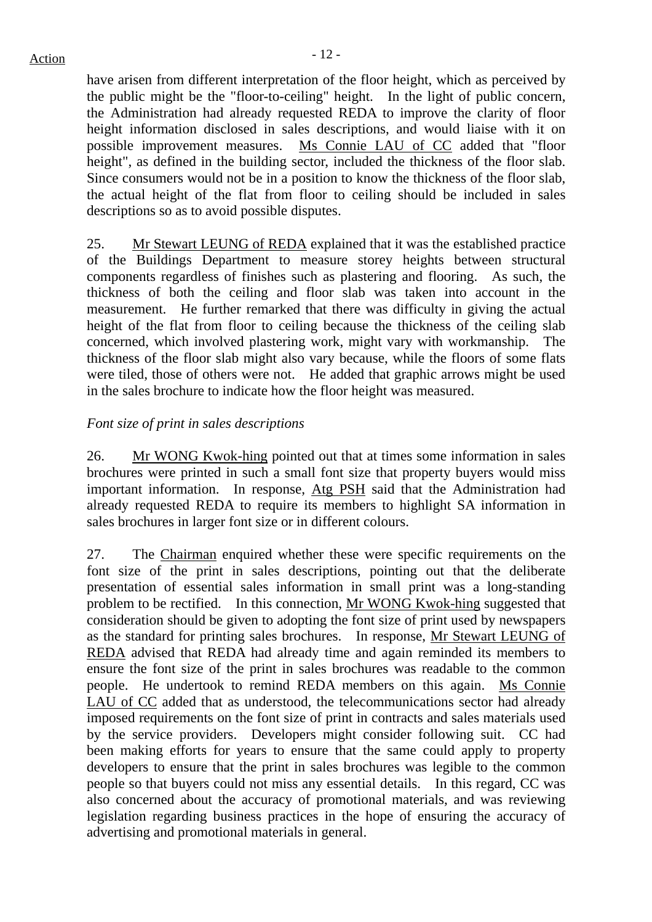have arisen from different interpretation of the floor height, which as perceived by the public might be the "floor-to-ceiling" height. In the light of public concern, the Administration had already requested REDA to improve the clarity of floor height information disclosed in sales descriptions, and would liaise with it on possible improvement measures. Ms Connie LAU of CC added that "floor height", as defined in the building sector, included the thickness of the floor slab. Since consumers would not be in a position to know the thickness of the floor slab, the actual height of the flat from floor to ceiling should be included in sales descriptions so as to avoid possible disputes.

25. Mr Stewart LEUNG of REDA explained that it was the established practice of the Buildings Department to measure storey heights between structural components regardless of finishes such as plastering and flooring. As such, the thickness of both the ceiling and floor slab was taken into account in the measurement. He further remarked that there was difficulty in giving the actual height of the flat from floor to ceiling because the thickness of the ceiling slab concerned, which involved plastering work, might vary with workmanship. The thickness of the floor slab might also vary because, while the floors of some flats were tiled, those of others were not. He added that graphic arrows might be used in the sales brochure to indicate how the floor height was measured.

## *Font size of print in sales descriptions*

26. Mr WONG Kwok-hing pointed out that at times some information in sales brochures were printed in such a small font size that property buyers would miss important information. In response, Atg PSH said that the Administration had already requested REDA to require its members to highlight SA information in sales brochures in larger font size or in different colours.

27. The Chairman enquired whether these were specific requirements on the font size of the print in sales descriptions, pointing out that the deliberate presentation of essential sales information in small print was a long-standing problem to be rectified. In this connection, Mr WONG Kwok-hing suggested that consideration should be given to adopting the font size of print used by newspapers as the standard for printing sales brochures. In response, Mr Stewart LEUNG of REDA advised that REDA had already time and again reminded its members to ensure the font size of the print in sales brochures was readable to the common people. He undertook to remind REDA members on this again. Ms Connie LAU of CC added that as understood, the telecommunications sector had already imposed requirements on the font size of print in contracts and sales materials used by the service providers. Developers might consider following suit. CC had been making efforts for years to ensure that the same could apply to property developers to ensure that the print in sales brochures was legible to the common people so that buyers could not miss any essential details. In this regard, CC was also concerned about the accuracy of promotional materials, and was reviewing legislation regarding business practices in the hope of ensuring the accuracy of advertising and promotional materials in general.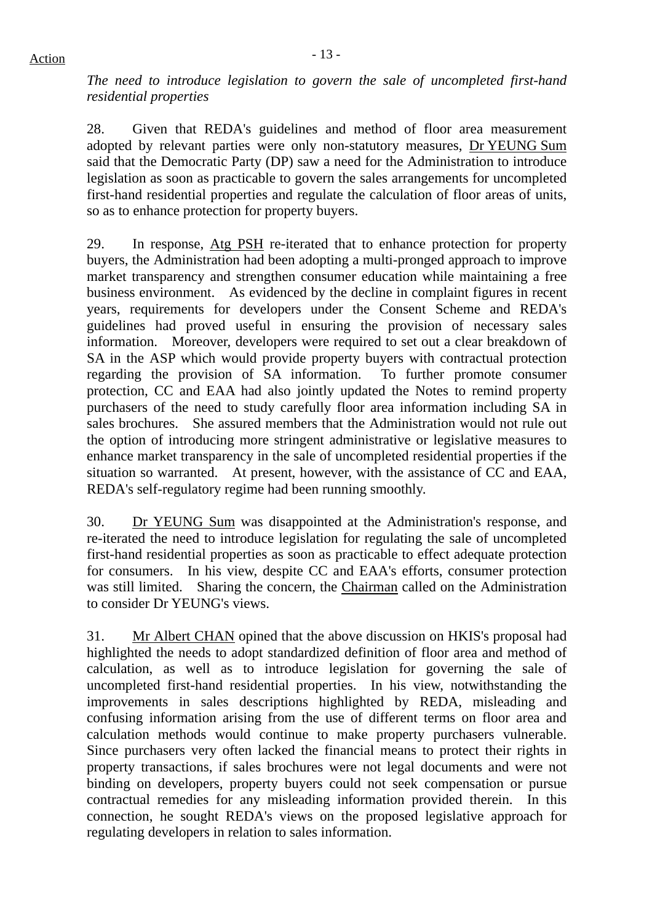*The need to introduce legislation to govern the sale of uncompleted first-hand residential properties* 

28. Given that REDA's guidelines and method of floor area measurement adopted by relevant parties were only non-statutory measures, Dr YEUNG Sum said that the Democratic Party (DP) saw a need for the Administration to introduce legislation as soon as practicable to govern the sales arrangements for uncompleted first-hand residential properties and regulate the calculation of floor areas of units, so as to enhance protection for property buyers.

29. In response, Atg PSH re-iterated that to enhance protection for property buyers, the Administration had been adopting a multi-pronged approach to improve market transparency and strengthen consumer education while maintaining a free business environment. As evidenced by the decline in complaint figures in recent years, requirements for developers under the Consent Scheme and REDA's guidelines had proved useful in ensuring the provision of necessary sales information. Moreover, developers were required to set out a clear breakdown of SA in the ASP which would provide property buyers with contractual protection regarding the provision of SA information. To further promote consumer protection, CC and EAA had also jointly updated the Notes to remind property purchasers of the need to study carefully floor area information including SA in sales brochures. She assured members that the Administration would not rule out the option of introducing more stringent administrative or legislative measures to enhance market transparency in the sale of uncompleted residential properties if the situation so warranted. At present, however, with the assistance of CC and EAA, REDA's self-regulatory regime had been running smoothly.

30. Dr YEUNG Sum was disappointed at the Administration's response, and re-iterated the need to introduce legislation for regulating the sale of uncompleted first-hand residential properties as soon as practicable to effect adequate protection for consumers. In his view, despite CC and EAA's efforts, consumer protection was still limited. Sharing the concern, the Chairman called on the Administration to consider Dr YEUNG's views.

31. Mr Albert CHAN opined that the above discussion on HKIS's proposal had highlighted the needs to adopt standardized definition of floor area and method of calculation, as well as to introduce legislation for governing the sale of uncompleted first-hand residential properties. In his view, notwithstanding the improvements in sales descriptions highlighted by REDA, misleading and confusing information arising from the use of different terms on floor area and calculation methods would continue to make property purchasers vulnerable. Since purchasers very often lacked the financial means to protect their rights in property transactions, if sales brochures were not legal documents and were not binding on developers, property buyers could not seek compensation or pursue contractual remedies for any misleading information provided therein. In this connection, he sought REDA's views on the proposed legislative approach for regulating developers in relation to sales information.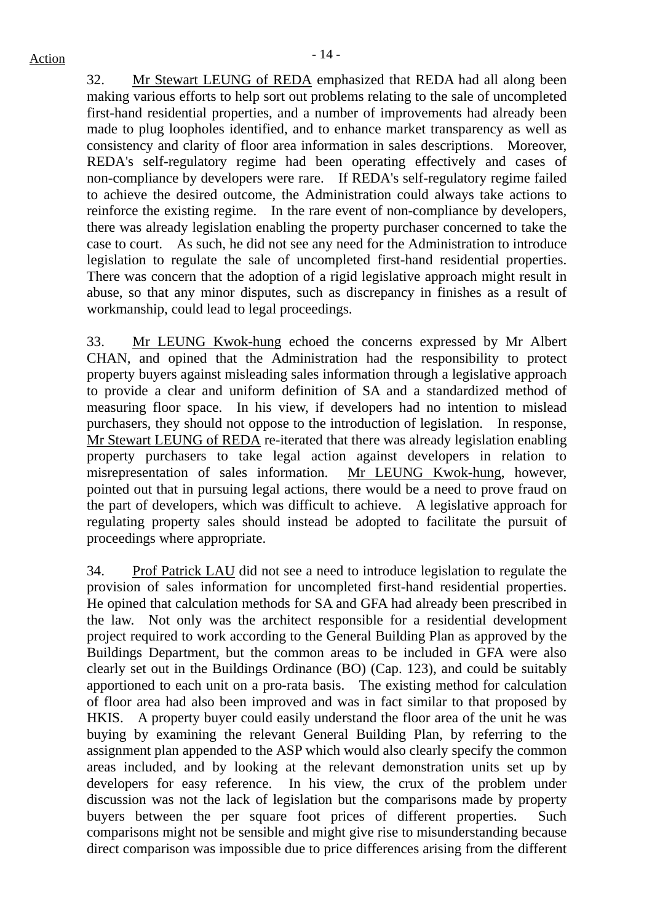# $Action$

32. Mr Stewart LEUNG of REDA emphasized that REDA had all along been making various efforts to help sort out problems relating to the sale of uncompleted first-hand residential properties, and a number of improvements had already been made to plug loopholes identified, and to enhance market transparency as well as consistency and clarity of floor area information in sales descriptions. Moreover, REDA's self-regulatory regime had been operating effectively and cases of non-compliance by developers were rare. If REDA's self-regulatory regime failed to achieve the desired outcome, the Administration could always take actions to reinforce the existing regime. In the rare event of non-compliance by developers, there was already legislation enabling the property purchaser concerned to take the case to court. As such, he did not see any need for the Administration to introduce legislation to regulate the sale of uncompleted first-hand residential properties. There was concern that the adoption of a rigid legislative approach might result in abuse, so that any minor disputes, such as discrepancy in finishes as a result of workmanship, could lead to legal proceedings.

33. Mr LEUNG Kwok-hung echoed the concerns expressed by Mr Albert CHAN, and opined that the Administration had the responsibility to protect property buyers against misleading sales information through a legislative approach to provide a clear and uniform definition of SA and a standardized method of measuring floor space. In his view, if developers had no intention to mislead purchasers, they should not oppose to the introduction of legislation. In response, Mr Stewart LEUNG of REDA re-iterated that there was already legislation enabling property purchasers to take legal action against developers in relation to misrepresentation of sales information. Mr LEUNG Kwok-hung, however, pointed out that in pursuing legal actions, there would be a need to prove fraud on the part of developers, which was difficult to achieve. A legislative approach for regulating property sales should instead be adopted to facilitate the pursuit of proceedings where appropriate.

34. Prof Patrick LAU did not see a need to introduce legislation to regulate the provision of sales information for uncompleted first-hand residential properties. He opined that calculation methods for SA and GFA had already been prescribed in the law. Not only was the architect responsible for a residential development project required to work according to the General Building Plan as approved by the Buildings Department, but the common areas to be included in GFA were also clearly set out in the Buildings Ordinance (BO) (Cap. 123), and could be suitably apportioned to each unit on a pro-rata basis. The existing method for calculation of floor area had also been improved and was in fact similar to that proposed by HKIS. A property buyer could easily understand the floor area of the unit he was buying by examining the relevant General Building Plan, by referring to the assignment plan appended to the ASP which would also clearly specify the common areas included, and by looking at the relevant demonstration units set up by developers for easy reference. In his view, the crux of the problem under discussion was not the lack of legislation but the comparisons made by property buyers between the per square foot prices of different properties. Such comparisons might not be sensible and might give rise to misunderstanding because direct comparison was impossible due to price differences arising from the different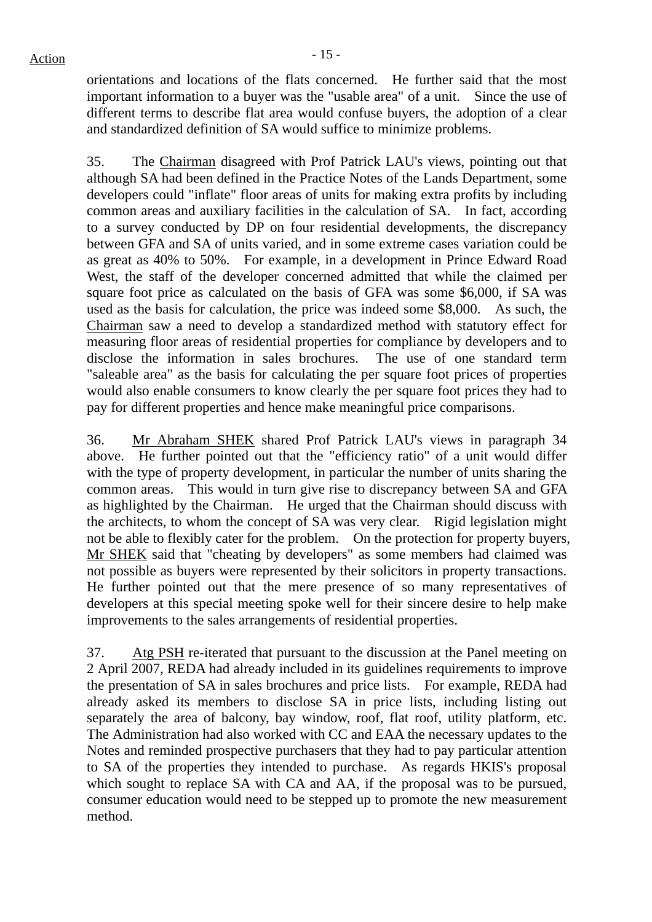orientations and locations of the flats concerned. He further said that the most important information to a buyer was the "usable area" of a unit. Since the use of different terms to describe flat area would confuse buyers, the adoption of a clear and standardized definition of SA would suffice to minimize problems.

35. The Chairman disagreed with Prof Patrick LAU's views, pointing out that although SA had been defined in the Practice Notes of the Lands Department, some developers could "inflate" floor areas of units for making extra profits by including common areas and auxiliary facilities in the calculation of SA. In fact, according to a survey conducted by DP on four residential developments, the discrepancy between GFA and SA of units varied, and in some extreme cases variation could be as great as 40% to 50%. For example, in a development in Prince Edward Road West, the staff of the developer concerned admitted that while the claimed per square foot price as calculated on the basis of GFA was some \$6,000, if SA was used as the basis for calculation, the price was indeed some \$8,000. As such, the Chairman saw a need to develop a standardized method with statutory effect for measuring floor areas of residential properties for compliance by developers and to disclose the information in sales brochures. The use of one standard term "saleable area" as the basis for calculating the per square foot prices of properties would also enable consumers to know clearly the per square foot prices they had to pay for different properties and hence make meaningful price comparisons.

36. Mr Abraham SHEK shared Prof Patrick LAU's views in paragraph 34 above. He further pointed out that the "efficiency ratio" of a unit would differ with the type of property development, in particular the number of units sharing the common areas. This would in turn give rise to discrepancy between SA and GFA as highlighted by the Chairman. He urged that the Chairman should discuss with the architects, to whom the concept of SA was very clear. Rigid legislation might not be able to flexibly cater for the problem. On the protection for property buyers, Mr SHEK said that "cheating by developers" as some members had claimed was not possible as buyers were represented by their solicitors in property transactions. He further pointed out that the mere presence of so many representatives of developers at this special meeting spoke well for their sincere desire to help make improvements to the sales arrangements of residential properties.

37. Atg PSH re-iterated that pursuant to the discussion at the Panel meeting on 2 April 2007, REDA had already included in its guidelines requirements to improve the presentation of SA in sales brochures and price lists. For example, REDA had already asked its members to disclose SA in price lists, including listing out separately the area of balcony, bay window, roof, flat roof, utility platform, etc. The Administration had also worked with CC and EAA the necessary updates to the Notes and reminded prospective purchasers that they had to pay particular attention to SA of the properties they intended to purchase. As regards HKIS's proposal which sought to replace SA with CA and AA, if the proposal was to be pursued, consumer education would need to be stepped up to promote the new measurement method.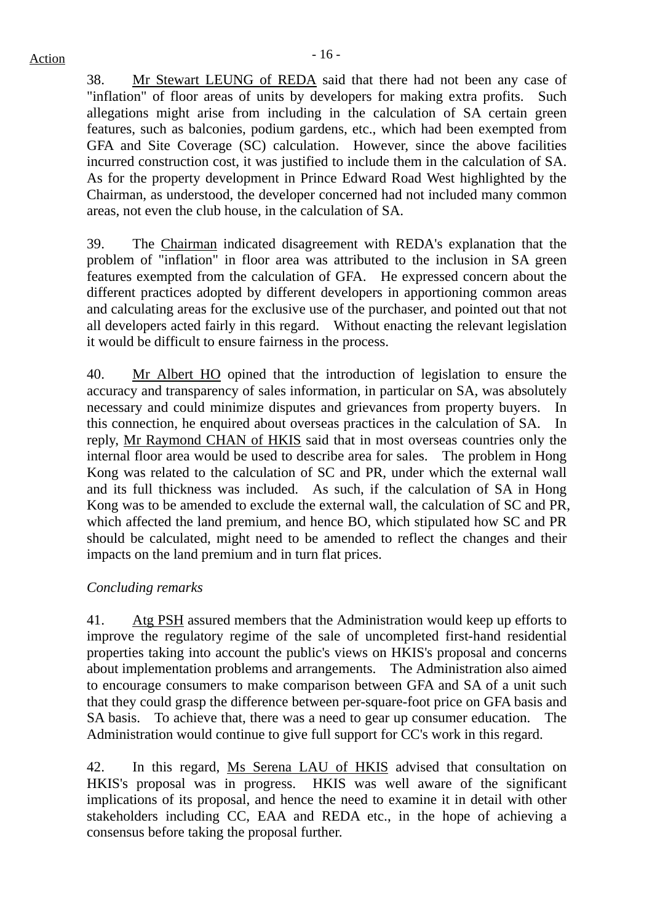38. Mr Stewart LEUNG of REDA said that there had not been any case of "inflation" of floor areas of units by developers for making extra profits. Such allegations might arise from including in the calculation of SA certain green features, such as balconies, podium gardens, etc., which had been exempted from GFA and Site Coverage (SC) calculation. However, since the above facilities incurred construction cost, it was justified to include them in the calculation of SA. As for the property development in Prince Edward Road West highlighted by the Chairman, as understood, the developer concerned had not included many common areas, not even the club house, in the calculation of SA.

39. The Chairman indicated disagreement with REDA's explanation that the problem of "inflation" in floor area was attributed to the inclusion in SA green features exempted from the calculation of GFA. He expressed concern about the different practices adopted by different developers in apportioning common areas and calculating areas for the exclusive use of the purchaser, and pointed out that not all developers acted fairly in this regard. Without enacting the relevant legislation it would be difficult to ensure fairness in the process.

40. Mr Albert HO opined that the introduction of legislation to ensure the accuracy and transparency of sales information, in particular on SA, was absolutely necessary and could minimize disputes and grievances from property buyers. In this connection, he enquired about overseas practices in the calculation of SA. In reply, Mr Raymond CHAN of HKIS said that in most overseas countries only the internal floor area would be used to describe area for sales. The problem in Hong Kong was related to the calculation of SC and PR, under which the external wall and its full thickness was included. As such, if the calculation of SA in Hong Kong was to be amended to exclude the external wall, the calculation of SC and PR, which affected the land premium, and hence BO, which stipulated how SC and PR should be calculated, might need to be amended to reflect the changes and their impacts on the land premium and in turn flat prices.

### *Concluding remarks*

41. Atg PSH assured members that the Administration would keep up efforts to improve the regulatory regime of the sale of uncompleted first-hand residential properties taking into account the public's views on HKIS's proposal and concerns about implementation problems and arrangements. The Administration also aimed to encourage consumers to make comparison between GFA and SA of a unit such that they could grasp the difference between per-square-foot price on GFA basis and SA basis. To achieve that, there was a need to gear up consumer education. The Administration would continue to give full support for CC's work in this regard.

42. In this regard, Ms Serena LAU of HKIS advised that consultation on HKIS's proposal was in progress. HKIS was well aware of the significant implications of its proposal, and hence the need to examine it in detail with other stakeholders including CC, EAA and REDA etc., in the hope of achieving a consensus before taking the proposal further.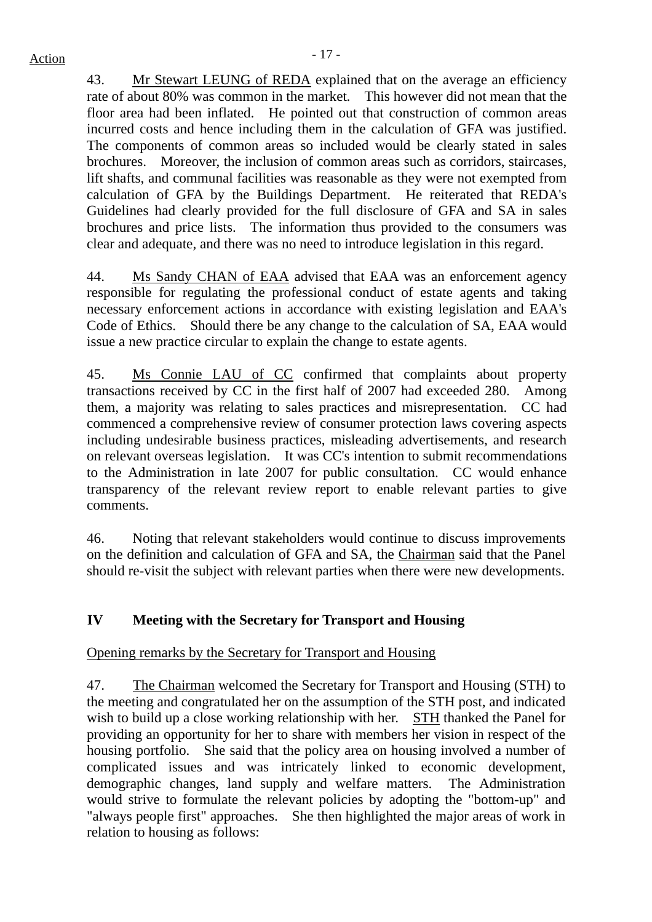# $Action$

43. Mr Stewart LEUNG of REDA explained that on the average an efficiency rate of about 80% was common in the market. This however did not mean that the floor area had been inflated. He pointed out that construction of common areas incurred costs and hence including them in the calculation of GFA was justified. The components of common areas so included would be clearly stated in sales brochures. Moreover, the inclusion of common areas such as corridors, staircases, lift shafts, and communal facilities was reasonable as they were not exempted from calculation of GFA by the Buildings Department. He reiterated that REDA's Guidelines had clearly provided for the full disclosure of GFA and SA in sales brochures and price lists. The information thus provided to the consumers was clear and adequate, and there was no need to introduce legislation in this regard.

44. Ms Sandy CHAN of EAA advised that EAA was an enforcement agency responsible for regulating the professional conduct of estate agents and taking necessary enforcement actions in accordance with existing legislation and EAA's Code of Ethics. Should there be any change to the calculation of SA, EAA would issue a new practice circular to explain the change to estate agents.

45. Ms Connie LAU of CC confirmed that complaints about property transactions received by CC in the first half of 2007 had exceeded 280. Among them, a majority was relating to sales practices and misrepresentation. CC had commenced a comprehensive review of consumer protection laws covering aspects including undesirable business practices, misleading advertisements, and research on relevant overseas legislation. It was CC's intention to submit recommendations to the Administration in late 2007 for public consultation. CC would enhance transparency of the relevant review report to enable relevant parties to give comments.

46. Noting that relevant stakeholders would continue to discuss improvements on the definition and calculation of GFA and SA, the Chairman said that the Panel should re-visit the subject with relevant parties when there were new developments.

# **IV Meeting with the Secretary for Transport and Housing**

# Opening remarks by the Secretary for Transport and Housing

47. The Chairman welcomed the Secretary for Transport and Housing (STH) to the meeting and congratulated her on the assumption of the STH post, and indicated wish to build up a close working relationship with her. STH thanked the Panel for providing an opportunity for her to share with members her vision in respect of the housing portfolio. She said that the policy area on housing involved a number of complicated issues and was intricately linked to economic development, demographic changes, land supply and welfare matters. The Administration would strive to formulate the relevant policies by adopting the "bottom-up" and "always people first" approaches. She then highlighted the major areas of work in relation to housing as follows: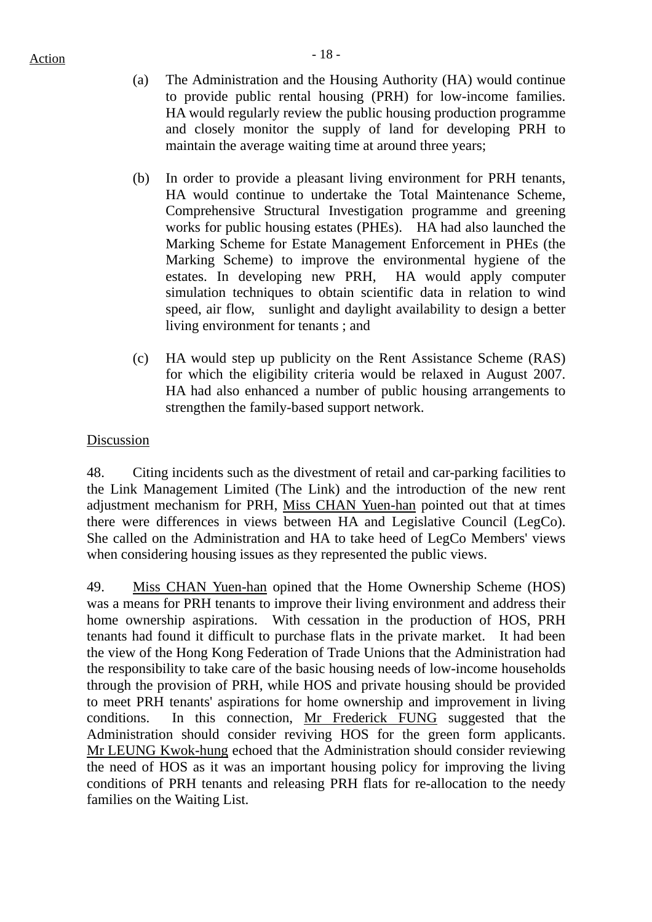- (a) The Administration and the Housing Authority (HA) would continue to provide public rental housing (PRH) for low-income families. HA would regularly review the public housing production programme and closely monitor the supply of land for developing PRH to maintain the average waiting time at around three years;
- (b) In order to provide a pleasant living environment for PRH tenants, HA would continue to undertake the Total Maintenance Scheme, Comprehensive Structural Investigation programme and greening works for public housing estates (PHEs). HA had also launched the Marking Scheme for Estate Management Enforcement in PHEs (the Marking Scheme) to improve the environmental hygiene of the estates. In developing new PRH, HA would apply computer simulation techniques to obtain scientific data in relation to wind speed, air flow, sunlight and daylight availability to design a better living environment for tenants ; and
- (c) HA would step up publicity on the Rent Assistance Scheme (RAS) for which the eligibility criteria would be relaxed in August 2007. HA had also enhanced a number of public housing arrangements to strengthen the family-based support network.

### Discussion

48. Citing incidents such as the divestment of retail and car-parking facilities to the Link Management Limited (The Link) and the introduction of the new rent adjustment mechanism for PRH, Miss CHAN Yuen-han pointed out that at times there were differences in views between HA and Legislative Council (LegCo). She called on the Administration and HA to take heed of LegCo Members' views when considering housing issues as they represented the public views.

49. Miss CHAN Yuen-han opined that the Home Ownership Scheme (HOS) was a means for PRH tenants to improve their living environment and address their home ownership aspirations. With cessation in the production of HOS, PRH tenants had found it difficult to purchase flats in the private market. It had been the view of the Hong Kong Federation of Trade Unions that the Administration had the responsibility to take care of the basic housing needs of low-income households through the provision of PRH, while HOS and private housing should be provided to meet PRH tenants' aspirations for home ownership and improvement in living conditions. In this connection, Mr Frederick FUNG suggested that the Administration should consider reviving HOS for the green form applicants. Mr LEUNG Kwok-hung echoed that the Administration should consider reviewing the need of HOS as it was an important housing policy for improving the living conditions of PRH tenants and releasing PRH flats for re-allocation to the needy families on the Waiting List.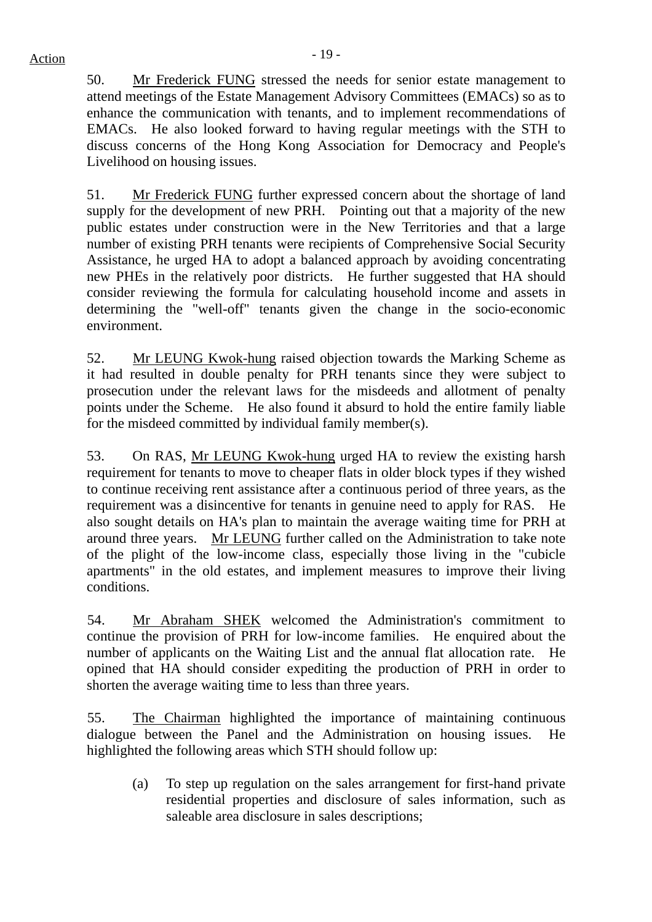50. Mr Frederick FUNG stressed the needs for senior estate management to attend meetings of the Estate Management Advisory Committees (EMACs) so as to enhance the communication with tenants, and to implement recommendations of EMACs. He also looked forward to having regular meetings with the STH to discuss concerns of the Hong Kong Association for Democracy and People's Livelihood on housing issues.

51. Mr Frederick FUNG further expressed concern about the shortage of land supply for the development of new PRH. Pointing out that a majority of the new public estates under construction were in the New Territories and that a large number of existing PRH tenants were recipients of Comprehensive Social Security Assistance, he urged HA to adopt a balanced approach by avoiding concentrating new PHEs in the relatively poor districts. He further suggested that HA should consider reviewing the formula for calculating household income and assets in determining the "well-off" tenants given the change in the socio-economic environment.

52. Mr LEUNG Kwok-hung raised objection towards the Marking Scheme as it had resulted in double penalty for PRH tenants since they were subject to prosecution under the relevant laws for the misdeeds and allotment of penalty points under the Scheme. He also found it absurd to hold the entire family liable for the misdeed committed by individual family member(s).

53. On RAS, Mr LEUNG Kwok-hung urged HA to review the existing harsh requirement for tenants to move to cheaper flats in older block types if they wished to continue receiving rent assistance after a continuous period of three years, as the requirement was a disincentive for tenants in genuine need to apply for RAS. He also sought details on HA's plan to maintain the average waiting time for PRH at around three years. Mr LEUNG further called on the Administration to take note of the plight of the low-income class, especially those living in the "cubicle apartments" in the old estates, and implement measures to improve their living conditions.

54. Mr Abraham SHEK welcomed the Administration's commitment to continue the provision of PRH for low-income families. He enquired about the number of applicants on the Waiting List and the annual flat allocation rate. He opined that HA should consider expediting the production of PRH in order to shorten the average waiting time to less than three years.

55. The Chairman highlighted the importance of maintaining continuous dialogue between the Panel and the Administration on housing issues. He highlighted the following areas which STH should follow up:

(a) To step up regulation on the sales arrangement for first-hand private residential properties and disclosure of sales information, such as saleable area disclosure in sales descriptions;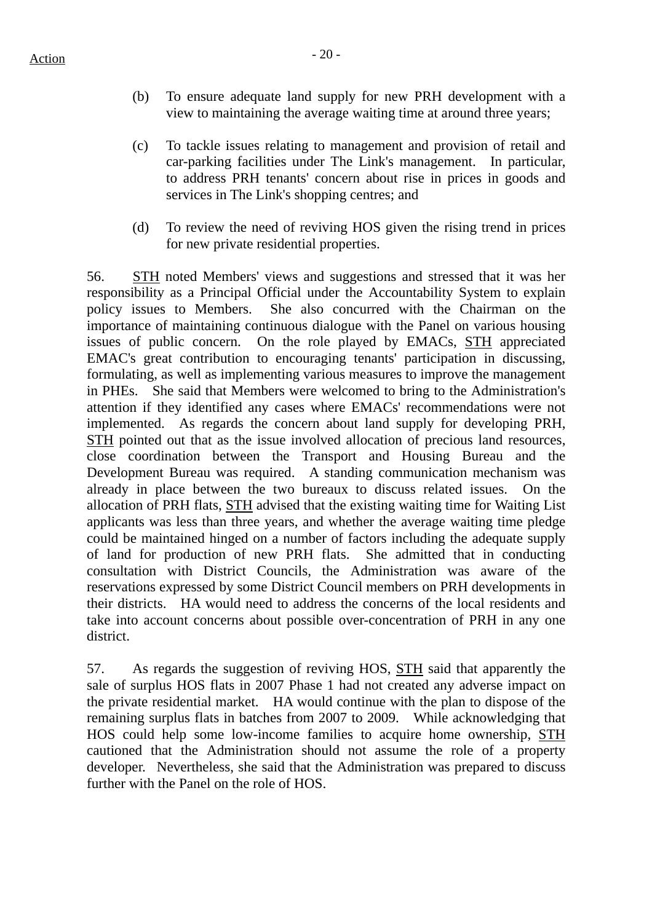- (b) To ensure adequate land supply for new PRH development with a view to maintaining the average waiting time at around three years;
- (c) To tackle issues relating to management and provision of retail and car-parking facilities under The Link's management. In particular, to address PRH tenants' concern about rise in prices in goods and services in The Link's shopping centres; and
- (d) To review the need of reviving HOS given the rising trend in prices for new private residential properties.

56. STH noted Members' views and suggestions and stressed that it was her responsibility as a Principal Official under the Accountability System to explain policy issues to Members. She also concurred with the Chairman on the importance of maintaining continuous dialogue with the Panel on various housing issues of public concern. On the role played by EMACs, STH appreciated EMAC's great contribution to encouraging tenants' participation in discussing, formulating, as well as implementing various measures to improve the management in PHEs. She said that Members were welcomed to bring to the Administration's attention if they identified any cases where EMACs' recommendations were not implemented. As regards the concern about land supply for developing PRH, STH pointed out that as the issue involved allocation of precious land resources, close coordination between the Transport and Housing Bureau and the Development Bureau was required. A standing communication mechanism was already in place between the two bureaux to discuss related issues. On the allocation of PRH flats, STH advised that the existing waiting time for Waiting List applicants was less than three years, and whether the average waiting time pledge could be maintained hinged on a number of factors including the adequate supply of land for production of new PRH flats. She admitted that in conducting consultation with District Councils, the Administration was aware of the reservations expressed by some District Council members on PRH developments in their districts. HA would need to address the concerns of the local residents and take into account concerns about possible over-concentration of PRH in any one district.

57. As regards the suggestion of reviving HOS, STH said that apparently the sale of surplus HOS flats in 2007 Phase 1 had not created any adverse impact on the private residential market. HA would continue with the plan to dispose of the remaining surplus flats in batches from 2007 to 2009. While acknowledging that HOS could help some low-income families to acquire home ownership, STH cautioned that the Administration should not assume the role of a property developer. Nevertheless, she said that the Administration was prepared to discuss further with the Panel on the role of HOS.